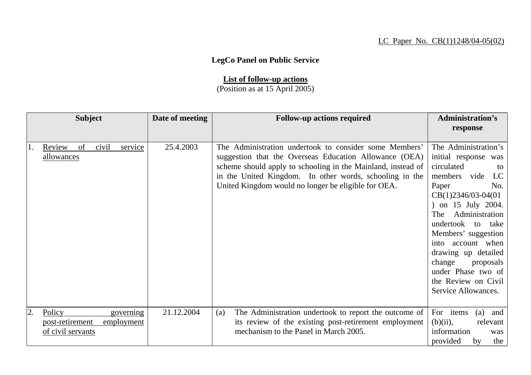## LC Paper No. CB(1)1248/04-05(02)

## **LegCo Panel on Public Service**

## **List of follow-up actions**

(Position as at 15 April 2005)

| <b>Subject</b> |                                                | Date of meeting | <b>Follow-up actions required</b> | <b>Administration's</b> |                                                                                                                                                                                                                                                                                                    |                                                                                                                                                                                                                                                                        |
|----------------|------------------------------------------------|-----------------|-----------------------------------|-------------------------|----------------------------------------------------------------------------------------------------------------------------------------------------------------------------------------------------------------------------------------------------------------------------------------------------|------------------------------------------------------------------------------------------------------------------------------------------------------------------------------------------------------------------------------------------------------------------------|
|                |                                                |                 |                                   |                         |                                                                                                                                                                                                                                                                                                    | response                                                                                                                                                                                                                                                               |
|                |                                                |                 |                                   |                         |                                                                                                                                                                                                                                                                                                    |                                                                                                                                                                                                                                                                        |
|                | Review<br>allowances                           | of              | civil<br>service                  | 25.4.2003               | The Administration undertook to consider some Members'<br>suggestion that the Overseas Education Allowance (OEA)<br>scheme should apply to schooling in the Mainland, instead of<br>in the United Kingdom. In other words, schooling in the<br>United Kingdom would no longer be eligible for OEA. | The Administration's<br>initial response was<br>circulated<br>to<br>members vide<br>LC<br>Paper<br>No.<br>$CB(1)2346/03-04(01)$<br>) on 15 July 2004.<br>Administration<br>The<br>undertook to take<br>Members' suggestion<br>into account when<br>drawing up detailed |
|                |                                                |                 |                                   |                         |                                                                                                                                                                                                                                                                                                    | change<br>proposals<br>under Phase two of<br>the Review on Civil<br>Service Allowances.                                                                                                                                                                                |
| 2.             | Policy<br>post-retirement<br>of civil servants |                 | governing<br>employment           | 21.12.2004              | The Administration undertook to report the outcome of<br>(a)<br>its review of the existing post-retirement employment<br>mechanism to the Panel in March 2005.                                                                                                                                     | For items<br>(a)<br>and<br>$(b)(ii)$ ,<br>relevant<br>information<br>was<br>provided<br>the<br>by                                                                                                                                                                      |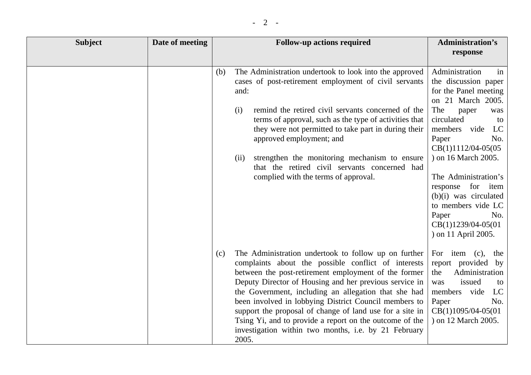| <b>Subject</b> | Date of meeting | <b>Follow-up actions required</b>                                                                                                                                                                                                                                                                                                                                                                                                                                                                                                             | <b>Administration's</b><br>response                                                                                                                                                                                                                                                                                                                                                             |
|----------------|-----------------|-----------------------------------------------------------------------------------------------------------------------------------------------------------------------------------------------------------------------------------------------------------------------------------------------------------------------------------------------------------------------------------------------------------------------------------------------------------------------------------------------------------------------------------------------|-------------------------------------------------------------------------------------------------------------------------------------------------------------------------------------------------------------------------------------------------------------------------------------------------------------------------------------------------------------------------------------------------|
|                |                 | The Administration undertook to look into the approved<br>(b)<br>cases of post-retirement employment of civil servants<br>and:<br>remind the retired civil servants concerned of the<br>(i)<br>terms of approval, such as the type of activities that<br>they were not permitted to take part in during their<br>approved employment; and<br>strengthen the monitoring mechanism to ensure<br>(ii)<br>that the retired civil servants concerned had<br>complied with the terms of approval.                                                   | Administration<br>in<br>the discussion paper<br>for the Panel meeting<br>on 21 March 2005.<br>The<br>paper<br>was<br>circulated<br>to<br>members<br>vide<br>LC<br>Paper<br>No.<br>$CB(1)1112/04-05(05)$<br>) on 16 March 2005.<br>The Administration's<br>for item<br>response<br>$(b)(i)$ was circulated<br>to members vide LC<br>Paper<br>No.<br>$CB(1)1239/04-05(01)$<br>) on 11 April 2005. |
|                |                 | The Administration undertook to follow up on further<br>(c)<br>complaints about the possible conflict of interests<br>between the post-retirement employment of the former<br>Deputy Director of Housing and her previous service in<br>the Government, including an allegation that she had<br>been involved in lobbying District Council members to<br>support the proposal of change of land use for a site in<br>Tsing Yi, and to provide a report on the outcome of the<br>investigation within two months, i.e. by 21 February<br>2005. | For<br>item $(c)$ ,<br>the<br>report provided by<br>Administration<br>the<br>issued<br>was<br>to<br>vide<br>LC<br>members<br>No.<br>Paper<br>$CB(1)1095/04-05(01)$<br>) on 12 March 2005.                                                                                                                                                                                                       |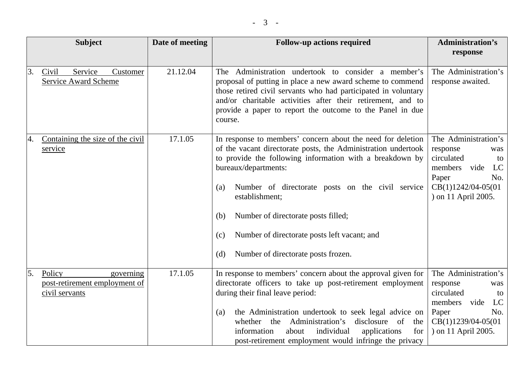|    | <b>Subject</b>                                                         | Date of meeting | <b>Follow-up actions required</b>                                                                                                                                                                                                                                                                                                                                                                                                                | <b>Administration's</b><br>response                                                                                                                  |
|----|------------------------------------------------------------------------|-----------------|--------------------------------------------------------------------------------------------------------------------------------------------------------------------------------------------------------------------------------------------------------------------------------------------------------------------------------------------------------------------------------------------------------------------------------------------------|------------------------------------------------------------------------------------------------------------------------------------------------------|
| 3. | Service<br>Civil<br>Customer<br><b>Service Award Scheme</b>            | 21.12.04        | The Administration undertook to consider a member's<br>proposal of putting in place a new award scheme to commend<br>those retired civil servants who had participated in voluntary<br>and/or charitable activities after their retirement, and to<br>provide a paper to report the outcome to the Panel in due<br>course.                                                                                                                       | The Administration's<br>response awaited.                                                                                                            |
| 4. | Containing the size of the civil<br>service                            | 17.1.05         | In response to members' concern about the need for deletion<br>of the vacant directorate posts, the Administration undertook<br>to provide the following information with a breakdown by<br>bureaux/departments:<br>Number of directorate posts on the civil service<br>(a)<br>establishment;<br>Number of directorate posts filled;<br>(b)<br>Number of directorate posts left vacant; and<br>(c)<br>Number of directorate posts frozen.<br>(d) | The Administration's<br>response<br>was<br>circulated<br>to<br>members<br>vide<br>LC<br>Paper<br>No.<br>CB(1)1242/04-05(01<br>) on 11 April 2005.    |
| 5. | Policy<br>governing<br>post-retirement employment of<br>civil servants | 17.1.05         | In response to members' concern about the approval given for<br>directorate officers to take up post-retirement employment<br>during their final leave period:<br>the Administration undertook to seek legal advice on<br>(a)<br>whether the Administration's<br>disclosure of<br>the<br>individual<br>for<br>information<br>applications<br>about<br>post-retirement employment would infringe the privacy                                      | The Administration's<br>response<br>was<br>circulated<br>to<br>LC<br>members<br>vide<br>Paper<br>No.<br>$CB(1)1239/04-05(01)$<br>) on 11 April 2005. |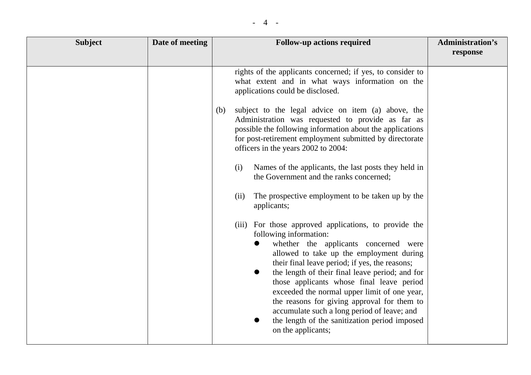| <b>Subject</b> | Date of meeting | <b>Follow-up actions required</b>                                                                                                                                                                                                                                                                                                                                                                                                                                                                                                                                     | <b>Administration's</b><br>response |
|----------------|-----------------|-----------------------------------------------------------------------------------------------------------------------------------------------------------------------------------------------------------------------------------------------------------------------------------------------------------------------------------------------------------------------------------------------------------------------------------------------------------------------------------------------------------------------------------------------------------------------|-------------------------------------|
|                |                 | rights of the applicants concerned; if yes, to consider to<br>what extent and in what ways information on the<br>applications could be disclosed.                                                                                                                                                                                                                                                                                                                                                                                                                     |                                     |
|                |                 | subject to the legal advice on item (a) above, the<br>(b)<br>Administration was requested to provide as far as<br>possible the following information about the applications<br>for post-retirement employment submitted by directorate<br>officers in the years 2002 to 2004:                                                                                                                                                                                                                                                                                         |                                     |
|                |                 | Names of the applicants, the last posts they held in<br>(i)<br>the Government and the ranks concerned;                                                                                                                                                                                                                                                                                                                                                                                                                                                                |                                     |
|                |                 | The prospective employment to be taken up by the<br>(ii)<br>applicants;                                                                                                                                                                                                                                                                                                                                                                                                                                                                                               |                                     |
|                |                 | (iii) For those approved applications, to provide the<br>following information:<br>whether the applicants concerned were<br>allowed to take up the employment during<br>their final leave period; if yes, the reasons;<br>the length of their final leave period; and for<br>$\bullet$<br>those applicants whose final leave period<br>exceeded the normal upper limit of one year,<br>the reasons for giving approval for them to<br>accumulate such a long period of leave; and<br>the length of the sanitization period imposed<br>$\bullet$<br>on the applicants; |                                     |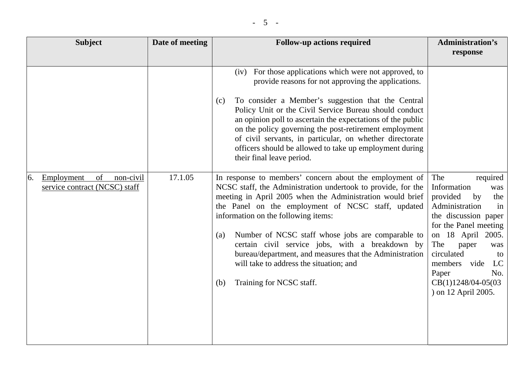| <b>Subject</b>                                                       | Date of meeting | <b>Follow-up actions required</b>                                                                                                                                                                                                                                                                                                                                                                                                                                                                                                         | <b>Administration's</b><br>response                                                                                                                                                                                                                                                              |
|----------------------------------------------------------------------|-----------------|-------------------------------------------------------------------------------------------------------------------------------------------------------------------------------------------------------------------------------------------------------------------------------------------------------------------------------------------------------------------------------------------------------------------------------------------------------------------------------------------------------------------------------------------|--------------------------------------------------------------------------------------------------------------------------------------------------------------------------------------------------------------------------------------------------------------------------------------------------|
|                                                                      |                 | (iv) For those applications which were not approved, to<br>provide reasons for not approving the applications.<br>To consider a Member's suggestion that the Central<br>(c)<br>Policy Unit or the Civil Service Bureau should conduct<br>an opinion poll to ascertain the expectations of the public<br>on the policy governing the post-retirement employment<br>of civil servants, in particular, on whether directorate<br>officers should be allowed to take up employment during<br>their final leave period.                        |                                                                                                                                                                                                                                                                                                  |
| of<br>Employment<br>non-civil<br>6.<br>service contract (NCSC) staff | 17.1.05         | In response to members' concern about the employment of<br>NCSC staff, the Administration undertook to provide, for the<br>meeting in April 2005 when the Administration would brief<br>the Panel on the employment of NCSC staff, updated<br>information on the following items:<br>Number of NCSC staff whose jobs are comparable to<br>(a)<br>certain civil service jobs, with a breakdown by<br>bureau/department, and measures that the Administration<br>will take to address the situation; and<br>Training for NCSC staff.<br>(b) | The<br>required<br>Information<br>was<br>provided<br>by<br>the<br>Administration<br>in<br>the discussion paper<br>for the Panel meeting<br>on 18 April<br>2005.<br>The<br>paper<br>was<br>circulated<br>to<br>members<br>vide<br>LC<br>Paper<br>No.<br>CB(1)1248/04-05(03<br>) on 12 April 2005. |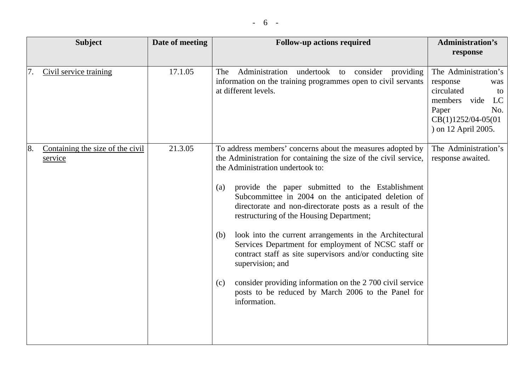| <b>Subject</b>                                    | Date of meeting | <b>Follow-up actions required</b>                                                                                                                                                                                                                                                                                                                                                                                                                                                                                                                                                                                                                                                                                                                | <b>Administration's</b><br>response                                                                                                                  |
|---------------------------------------------------|-----------------|--------------------------------------------------------------------------------------------------------------------------------------------------------------------------------------------------------------------------------------------------------------------------------------------------------------------------------------------------------------------------------------------------------------------------------------------------------------------------------------------------------------------------------------------------------------------------------------------------------------------------------------------------------------------------------------------------------------------------------------------------|------------------------------------------------------------------------------------------------------------------------------------------------------|
| Civil service training<br>7.                      | 17.1.05         | Administration undertook to consider<br>The<br>providing<br>information on the training programmes open to civil servants<br>at different levels.                                                                                                                                                                                                                                                                                                                                                                                                                                                                                                                                                                                                | The Administration's<br>response<br>was<br>circulated<br>to<br>members<br>vide<br>LC<br>No.<br>Paper<br>$CB(1)1252/04-05(01)$<br>) on 12 April 2005. |
| 8.<br>Containing the size of the civil<br>service | 21.3.05         | To address members' concerns about the measures adopted by<br>the Administration for containing the size of the civil service,<br>the Administration undertook to:<br>provide the paper submitted to the Establishment<br>(a)<br>Subcommittee in 2004 on the anticipated deletion of<br>directorate and non-directorate posts as a result of the<br>restructuring of the Housing Department;<br>look into the current arrangements in the Architectural<br>(b)<br>Services Department for employment of NCSC staff or<br>contract staff as site supervisors and/or conducting site<br>supervision; and<br>consider providing information on the 2 700 civil service<br>(c)<br>posts to be reduced by March 2006 to the Panel for<br>information. | The Administration's<br>response awaited.                                                                                                            |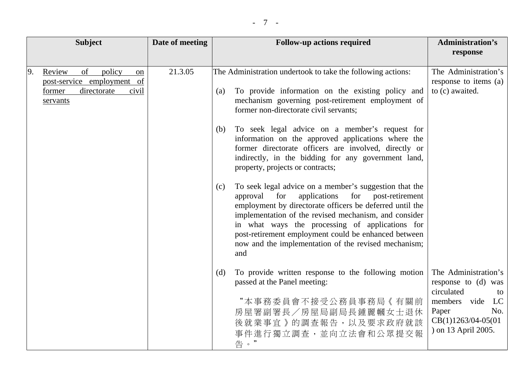|    | <b>Subject</b>                                                                                                      | Date of meeting | <b>Follow-up actions required</b>                                                                                                                                                                                                                                                                                                                                                                                      | <b>Administration's</b><br>response                                                                                                                   |
|----|---------------------------------------------------------------------------------------------------------------------|-----------------|------------------------------------------------------------------------------------------------------------------------------------------------------------------------------------------------------------------------------------------------------------------------------------------------------------------------------------------------------------------------------------------------------------------------|-------------------------------------------------------------------------------------------------------------------------------------------------------|
| 9. | of<br>policy<br>Review<br><sub>on</sub><br>post-service employment of<br>directorate<br>former<br>civil<br>servants | 21.3.05         | The Administration undertook to take the following actions:<br>To provide information on the existing policy and<br>(a)<br>mechanism governing post-retirement employment of<br>former non-directorate civil servants;                                                                                                                                                                                                 | The Administration's<br>response to items (a)<br>to (c) awaited.                                                                                      |
|    |                                                                                                                     |                 | To seek legal advice on a member's request for<br>(b)<br>information on the approved applications where the<br>former directorate officers are involved, directly or<br>indirectly, in the bidding for any government land,<br>property, projects or contracts;                                                                                                                                                        |                                                                                                                                                       |
|    |                                                                                                                     |                 | To seek legal advice on a member's suggestion that the<br>(c)<br>for post-retirement<br>approval<br>for<br>applications<br>employment by directorate officers be deferred until the<br>implementation of the revised mechanism, and consider<br>in what ways the processing of applications for<br>post-retirement employment could be enhanced between<br>now and the implementation of the revised mechanism;<br>and |                                                                                                                                                       |
|    |                                                                                                                     |                 | To provide written response to the following motion<br>(d)<br>passed at the Panel meeting:<br>"本事務委員會不接受公務員事務局《有關前<br>房屋署副署長/房屋局副局長鍾麗幗女士退休<br>後就業事宜》的調查報告,以及要求政府就該<br>事件進行獨立調查,並向立法會和公眾提交報<br>告。"                                                                                                                                                                                                                      | The Administration's<br>response to (d) was<br>circulated<br>to<br>LC<br>members vide<br>Paper<br>No.<br>$CB(1)1263/04-05(01)$<br>) on 13 April 2005. |